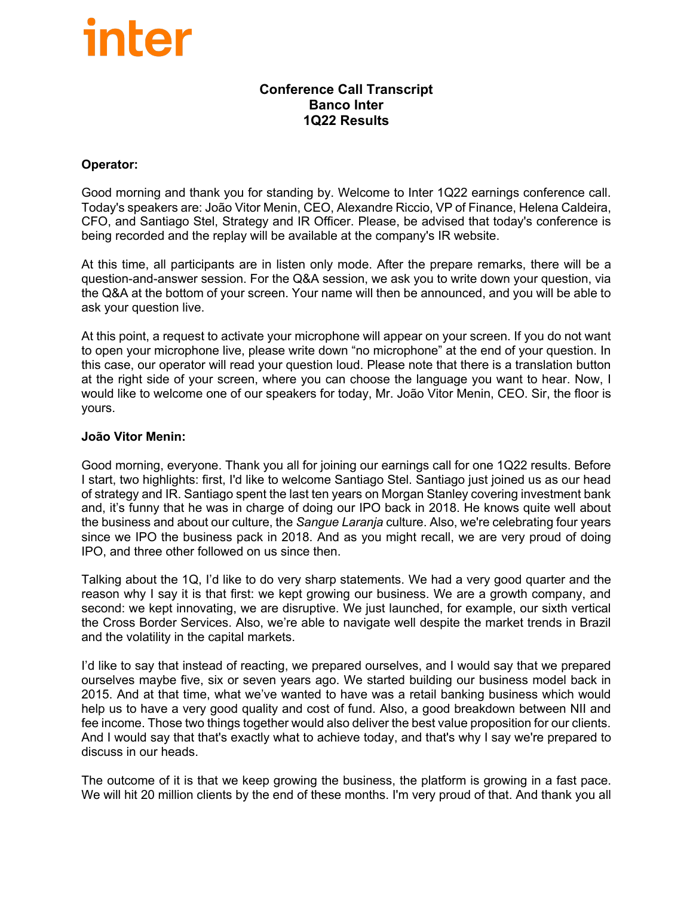#### **Conference Call Transcript Banco Inter 1Q22 Results**

#### **Operator:**

Good morning and thank you for standing by. Welcome to Inter 1Q22 earnings conference call. Today's speakers are: João Vitor Menin, CEO, Alexandre Riccio, VP of Finance, Helena Caldeira, CFO, and Santiago Stel, Strategy and IR Officer. Please, be advised that today's conference is being recorded and the replay will be available at the company's IR website.

At this time, all participants are in listen only mode. After the prepare remarks, there will be a question-and-answer session. For the Q&A session, we ask you to write down your question, via the Q&A at the bottom of your screen. Your name will then be announced, and you will be able to ask your question live.

At this point, a request to activate your microphone will appear on your screen. If you do not want to open your microphone live, please write down "no microphone" at the end of your question. In this case, our operator will read your question loud. Please note that there is a translation button at the right side of your screen, where you can choose the language you want to hear. Now, I would like to welcome one of our speakers for today, Mr. João Vitor Menin, CEO. Sir, the floor is yours.

#### **João Vitor Menin:**

Good morning, everyone. Thank you all for joining our earnings call for one 1Q22 results. Before I start, two highlights: first, I'd like to welcome Santiago Stel. Santiago just joined us as our head of strategy and IR. Santiago spent the last ten years on Morgan Stanley covering investment bank and, it's funny that he was in charge of doing our IPO back in 2018. He knows quite well about the business and about our culture, the *Sangue Laranja* culture. Also, we're celebrating four years since we IPO the business pack in 2018. And as you might recall, we are very proud of doing IPO, and three other followed on us since then.

Talking about the 1Q, I'd like to do very sharp statements. We had a very good quarter and the reason why I say it is that first: we kept growing our business. We are a growth company, and second: we kept innovating, we are disruptive. We just launched, for example, our sixth vertical the Cross Border Services. Also, we're able to navigate well despite the market trends in Brazil and the volatility in the capital markets.

I'd like to say that instead of reacting, we prepared ourselves, and I would say that we prepared ourselves maybe five, six or seven years ago. We started building our business model back in 2015. And at that time, what we've wanted to have was a retail banking business which would help us to have a very good quality and cost of fund. Also, a good breakdown between NII and fee income. Those two things together would also deliver the best value proposition for our clients. And I would say that that's exactly what to achieve today, and that's why I say we're prepared to discuss in our heads.

The outcome of it is that we keep growing the business, the platform is growing in a fast pace. We will hit 20 million clients by the end of these months. I'm very proud of that. And thank you all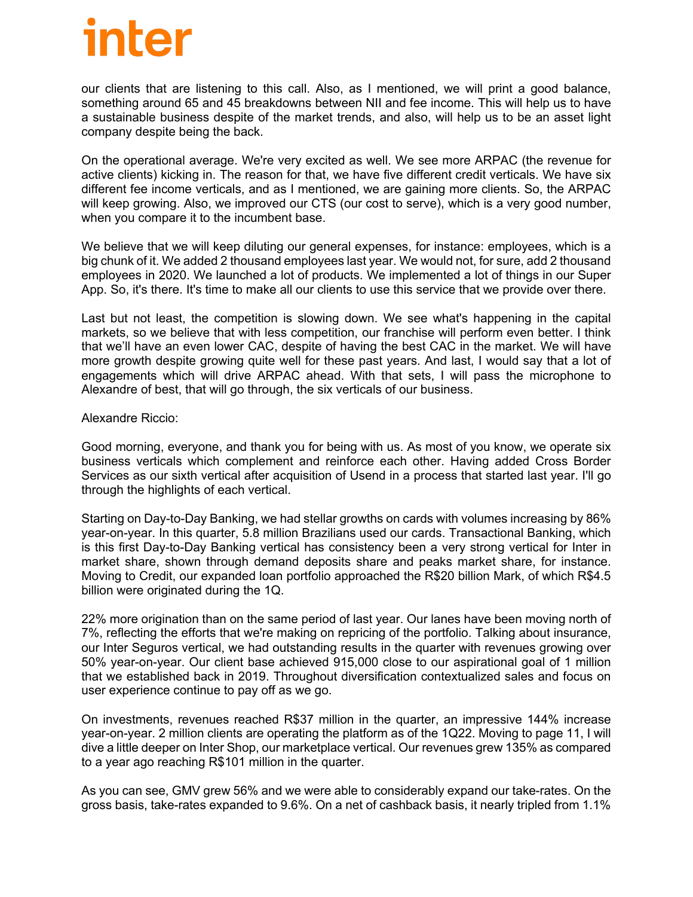our clients that are listening to this call. Also, as I mentioned, we will print a good balance, something around 65 and 45 breakdowns between NII and fee income. This will help us to have a sustainable business despite of the market trends, and also, will help us to be an asset light company despite being the back.

On the operational average. We're very excited as well. We see more ARPAC (the revenue for active clients) kicking in. The reason for that, we have five different credit verticals. We have six different fee income verticals, and as I mentioned, we are gaining more clients. So, the ARPAC will keep growing. Also, we improved our CTS (our cost to serve), which is a very good number, when you compare it to the incumbent base.

We believe that we will keep diluting our general expenses, for instance: employees, which is a big chunk of it. We added 2 thousand employees last year. We would not, for sure, add 2 thousand employees in 2020. We launched a lot of products. We implemented a lot of things in our Super App. So, it's there. It's time to make all our clients to use this service that we provide over there.

Last but not least, the competition is slowing down. We see what's happening in the capital markets, so we believe that with less competition, our franchise will perform even better. I think that we'll have an even lower CAC, despite of having the best CAC in the market. We will have more growth despite growing quite well for these past years. And last, I would say that a lot of engagements which will drive ARPAC ahead. With that sets, I will pass the microphone to Alexandre of best, that will go through, the six verticals of our business.

#### Alexandre Riccio:

Good morning, everyone, and thank you for being with us. As most of you know, we operate six business verticals which complement and reinforce each other. Having added Cross Border Services as our sixth vertical after acquisition of Usend in a process that started last year. I'll go through the highlights of each vertical.

Starting on Day-to-Day Banking, we had stellar growths on cards with volumes increasing by 86% year-on-year. In this quarter, 5.8 million Brazilians used our cards. Transactional Banking, which is this first Day-to-Day Banking vertical has consistency been a very strong vertical for Inter in market share, shown through demand deposits share and peaks market share, for instance. Moving to Credit, our expanded loan portfolio approached the R\$20 billion Mark, of which R\$4.5 billion were originated during the 1Q.

22% more origination than on the same period of last year. Our lanes have been moving north of 7%, reflecting the efforts that we're making on repricing of the portfolio. Talking about insurance, our Inter Seguros vertical, we had outstanding results in the quarter with revenues growing over 50% year-on-year. Our client base achieved 915,000 close to our aspirational goal of 1 million that we established back in 2019. Throughout diversification contextualized sales and focus on user experience continue to pay off as we go.

On investments, revenues reached R\$37 million in the quarter, an impressive 144% increase year-on-year. 2 million clients are operating the platform as of the 1Q22. Moving to page 11, I will dive a little deeper on Inter Shop, our marketplace vertical. Our revenues grew 135% as compared to a year ago reaching R\$101 million in the quarter.

As you can see, GMV grew 56% and we were able to considerably expand our take-rates. On the gross basis, take-rates expanded to 9.6%. On a net of cashback basis, it nearly tripled from 1.1%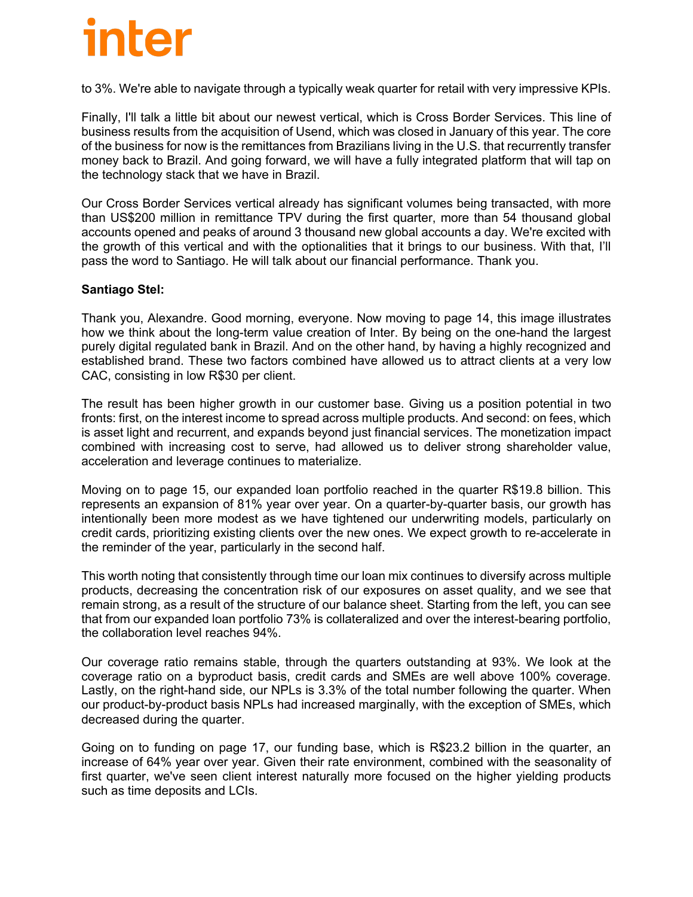to 3%. We're able to navigate through a typically weak quarter for retail with very impressive KPIs.

Finally, I'll talk a little bit about our newest vertical, which is Cross Border Services. This line of business results from the acquisition of Usend, which was closed in January of this year. The core of the business for now is the remittances from Brazilians living in the U.S. that recurrently transfer money back to Brazil. And going forward, we will have a fully integrated platform that will tap on the technology stack that we have in Brazil.

Our Cross Border Services vertical already has significant volumes being transacted, with more than US\$200 million in remittance TPV during the first quarter, more than 54 thousand global accounts opened and peaks of around 3 thousand new global accounts a day. We're excited with the growth of this vertical and with the optionalities that it brings to our business. With that, I'll pass the word to Santiago. He will talk about our financial performance. Thank you.

#### **Santiago Stel:**

Thank you, Alexandre. Good morning, everyone. Now moving to page 14, this image illustrates how we think about the long-term value creation of Inter. By being on the one-hand the largest purely digital regulated bank in Brazil. And on the other hand, by having a highly recognized and established brand. These two factors combined have allowed us to attract clients at a very low CAC, consisting in low R\$30 per client.

The result has been higher growth in our customer base. Giving us a position potential in two fronts: first, on the interest income to spread across multiple products. And second: on fees, which is asset light and recurrent, and expands beyond just financial services. The monetization impact combined with increasing cost to serve, had allowed us to deliver strong shareholder value, acceleration and leverage continues to materialize.

Moving on to page 15, our expanded loan portfolio reached in the quarter R\$19.8 billion. This represents an expansion of 81% year over year. On a quarter-by-quarter basis, our growth has intentionally been more modest as we have tightened our underwriting models, particularly on credit cards, prioritizing existing clients over the new ones. We expect growth to re-accelerate in the reminder of the year, particularly in the second half.

This worth noting that consistently through time our loan mix continues to diversify across multiple products, decreasing the concentration risk of our exposures on asset quality, and we see that remain strong, as a result of the structure of our balance sheet. Starting from the left, you can see that from our expanded loan portfolio 73% is collateralized and over the interest-bearing portfolio, the collaboration level reaches 94%.

Our coverage ratio remains stable, through the quarters outstanding at 93%. We look at the coverage ratio on a byproduct basis, credit cards and SMEs are well above 100% coverage. Lastly, on the right-hand side, our NPLs is 3.3% of the total number following the quarter. When our product-by-product basis NPLs had increased marginally, with the exception of SMEs, which decreased during the quarter.

Going on to funding on page 17, our funding base, which is R\$23.2 billion in the quarter, an increase of 64% year over year. Given their rate environment, combined with the seasonality of first quarter, we've seen client interest naturally more focused on the higher yielding products such as time deposits and LCIs.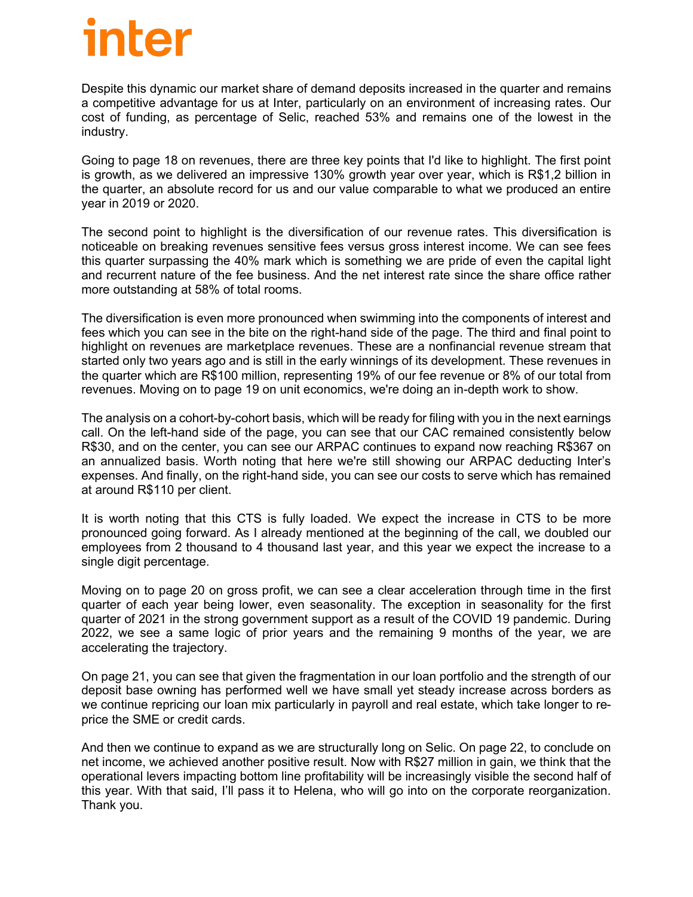Despite this dynamic our market share of demand deposits increased in the quarter and remains a competitive advantage for us at Inter, particularly on an environment of increasing rates. Our cost of funding, as percentage of Selic, reached 53% and remains one of the lowest in the industry.

Going to page 18 on revenues, there are three key points that I'd like to highlight. The first point is growth, as we delivered an impressive 130% growth year over year, which is R\$1,2 billion in the quarter, an absolute record for us and our value comparable to what we produced an entire year in 2019 or 2020.

The second point to highlight is the diversification of our revenue rates. This diversification is noticeable on breaking revenues sensitive fees versus gross interest income. We can see fees this quarter surpassing the 40% mark which is something we are pride of even the capital light and recurrent nature of the fee business. And the net interest rate since the share office rather more outstanding at 58% of total rooms.

The diversification is even more pronounced when swimming into the components of interest and fees which you can see in the bite on the right-hand side of the page. The third and final point to highlight on revenues are marketplace revenues. These are a nonfinancial revenue stream that started only two years ago and is still in the early winnings of its development. These revenues in the quarter which are R\$100 million, representing 19% of our fee revenue or 8% of our total from revenues. Moving on to page 19 on unit economics, we're doing an in-depth work to show.

The analysis on a cohort-by-cohort basis, which will be ready for filing with you in the next earnings call. On the left-hand side of the page, you can see that our CAC remained consistently below R\$30, and on the center, you can see our ARPAC continues to expand now reaching R\$367 on an annualized basis. Worth noting that here we're still showing our ARPAC deducting Inter's expenses. And finally, on the right-hand side, you can see our costs to serve which has remained at around R\$110 per client.

It is worth noting that this CTS is fully loaded. We expect the increase in CTS to be more pronounced going forward. As I already mentioned at the beginning of the call, we doubled our employees from 2 thousand to 4 thousand last year, and this year we expect the increase to a single digit percentage.

Moving on to page 20 on gross profit, we can see a clear acceleration through time in the first quarter of each year being lower, even seasonality. The exception in seasonality for the first quarter of 2021 in the strong government support as a result of the COVID 19 pandemic. During 2022, we see a same logic of prior years and the remaining 9 months of the year, we are accelerating the trajectory.

On page 21, you can see that given the fragmentation in our loan portfolio and the strength of our deposit base owning has performed well we have small yet steady increase across borders as we continue repricing our loan mix particularly in payroll and real estate, which take longer to reprice the SME or credit cards.

And then we continue to expand as we are structurally long on Selic. On page 22, to conclude on net income, we achieved another positive result. Now with R\$27 million in gain, we think that the operational levers impacting bottom line profitability will be increasingly visible the second half of this year. With that said, I'll pass it to Helena, who will go into on the corporate reorganization. Thank you.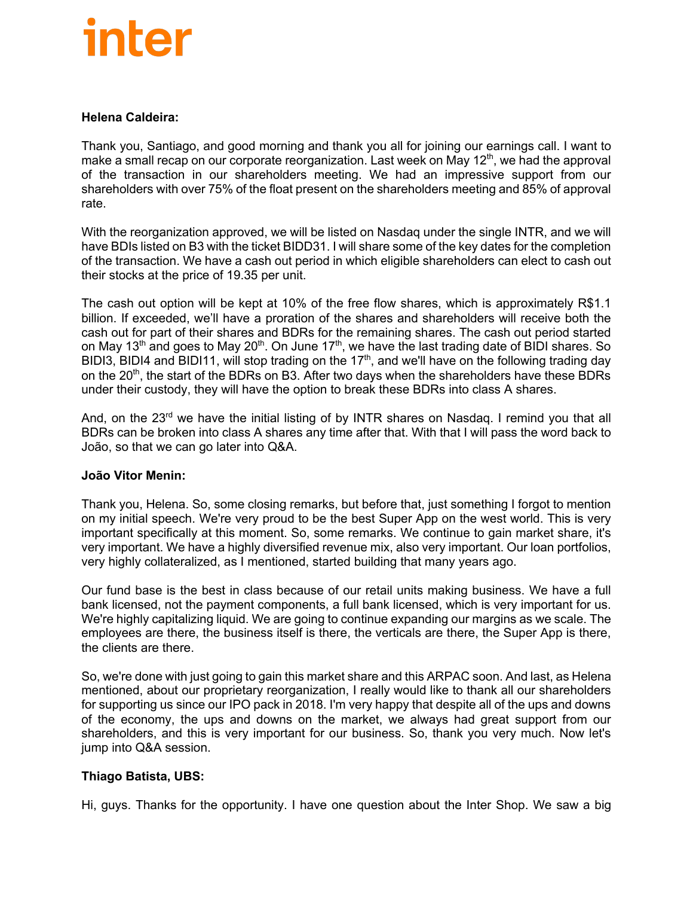#### **Helena Caldeira:**

Thank you, Santiago, and good morning and thank you all for joining our earnings call. I want to make a small recap on our corporate reorganization. Last week on May 12<sup>th</sup>, we had the approval of the transaction in our shareholders meeting. We had an impressive support from our shareholders with over 75% of the float present on the shareholders meeting and 85% of approval rate.

With the reorganization approved, we will be listed on Nasdaq under the single INTR, and we will have BDIs listed on B3 with the ticket BIDD31. I will share some of the key dates for the completion of the transaction. We have a cash out period in which eligible shareholders can elect to cash out their stocks at the price of 19.35 per unit.

The cash out option will be kept at 10% of the free flow shares, which is approximately R\$1.1 billion. If exceeded, we'll have a proration of the shares and shareholders will receive both the cash out for part of their shares and BDRs for the remaining shares. The cash out period started on May 13<sup>th</sup> and goes to May 20<sup>th</sup>. On June 17<sup>th</sup>, we have the last trading date of BIDI shares. So BIDI3, BIDI4 and BIDI11, will stop trading on the 17<sup>th</sup>, and we'll have on the following trading day on the 20<sup>th</sup>, the start of the BDRs on B3. After two days when the shareholders have these BDRs under their custody, they will have the option to break these BDRs into class A shares.

And, on the  $23<sup>rd</sup>$  we have the initial listing of by INTR shares on Nasdag. I remind you that all BDRs can be broken into class A shares any time after that. With that I will pass the word back to João, so that we can go later into Q&A.

#### **João Vitor Menin:**

Thank you, Helena. So, some closing remarks, but before that, just something I forgot to mention on my initial speech. We're very proud to be the best Super App on the west world. This is very important specifically at this moment. So, some remarks. We continue to gain market share, it's very important. We have a highly diversified revenue mix, also very important. Our loan portfolios, very highly collateralized, as I mentioned, started building that many years ago.

Our fund base is the best in class because of our retail units making business. We have a full bank licensed, not the payment components, a full bank licensed, which is very important for us. We're highly capitalizing liquid. We are going to continue expanding our margins as we scale. The employees are there, the business itself is there, the verticals are there, the Super App is there, the clients are there.

So, we're done with just going to gain this market share and this ARPAC soon. And last, as Helena mentioned, about our proprietary reorganization, I really would like to thank all our shareholders for supporting us since our IPO pack in 2018. I'm very happy that despite all of the ups and downs of the economy, the ups and downs on the market, we always had great support from our shareholders, and this is very important for our business. So, thank you very much. Now let's jump into Q&A session.

#### **Thiago Batista, UBS:**

Hi, guys. Thanks for the opportunity. I have one question about the Inter Shop. We saw a big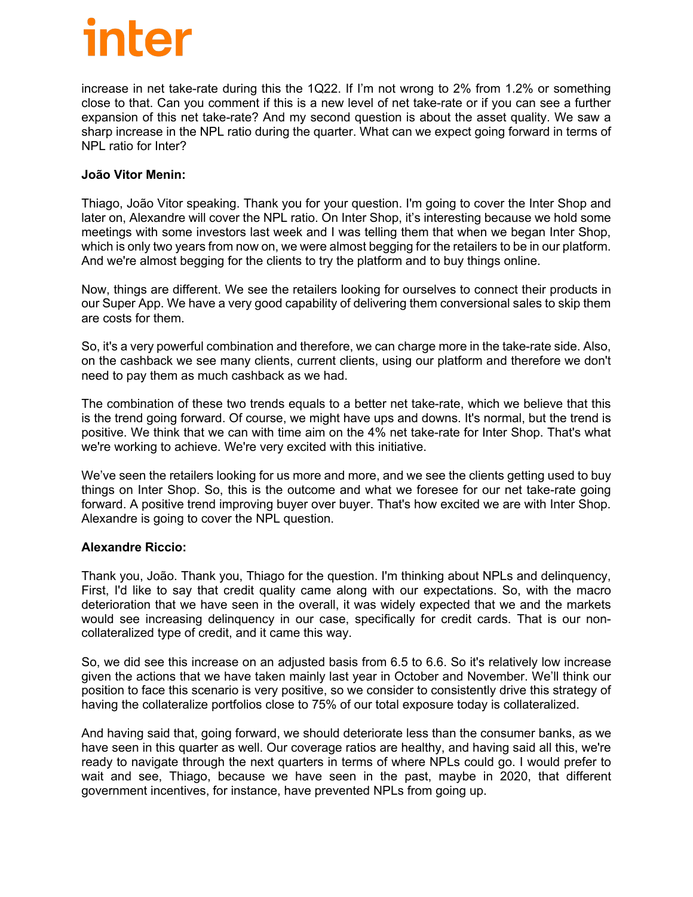increase in net take-rate during this the 1Q22. If I'm not wrong to 2% from 1.2% or something close to that. Can you comment if this is a new level of net take-rate or if you can see a further expansion of this net take-rate? And my second question is about the asset quality. We saw a sharp increase in the NPL ratio during the quarter. What can we expect going forward in terms of NPL ratio for Inter?

#### **João Vitor Menin:**

Thiago, João Vitor speaking. Thank you for your question. I'm going to cover the Inter Shop and later on, Alexandre will cover the NPL ratio. On Inter Shop, it's interesting because we hold some meetings with some investors last week and I was telling them that when we began Inter Shop, which is only two years from now on, we were almost begging for the retailers to be in our platform. And we're almost begging for the clients to try the platform and to buy things online.

Now, things are different. We see the retailers looking for ourselves to connect their products in our Super App. We have a very good capability of delivering them conversional sales to skip them are costs for them.

So, it's a very powerful combination and therefore, we can charge more in the take-rate side. Also, on the cashback we see many clients, current clients, using our platform and therefore we don't need to pay them as much cashback as we had.

The combination of these two trends equals to a better net take-rate, which we believe that this is the trend going forward. Of course, we might have ups and downs. It's normal, but the trend is positive. We think that we can with time aim on the 4% net take-rate for Inter Shop. That's what we're working to achieve. We're very excited with this initiative.

We've seen the retailers looking for us more and more, and we see the clients getting used to buy things on Inter Shop. So, this is the outcome and what we foresee for our net take-rate going forward. A positive trend improving buyer over buyer. That's how excited we are with Inter Shop. Alexandre is going to cover the NPL question.

#### **Alexandre Riccio:**

Thank you, João. Thank you, Thiago for the question. I'm thinking about NPLs and delinquency, First, I'd like to say that credit quality came along with our expectations. So, with the macro deterioration that we have seen in the overall, it was widely expected that we and the markets would see increasing delinquency in our case, specifically for credit cards. That is our noncollateralized type of credit, and it came this way.

So, we did see this increase on an adjusted basis from 6.5 to 6.6. So it's relatively low increase given the actions that we have taken mainly last year in October and November. We'll think our position to face this scenario is very positive, so we consider to consistently drive this strategy of having the collateralize portfolios close to 75% of our total exposure today is collateralized.

And having said that, going forward, we should deteriorate less than the consumer banks, as we have seen in this quarter as well. Our coverage ratios are healthy, and having said all this, we're ready to navigate through the next quarters in terms of where NPLs could go. I would prefer to wait and see, Thiago, because we have seen in the past, maybe in 2020, that different government incentives, for instance, have prevented NPLs from going up.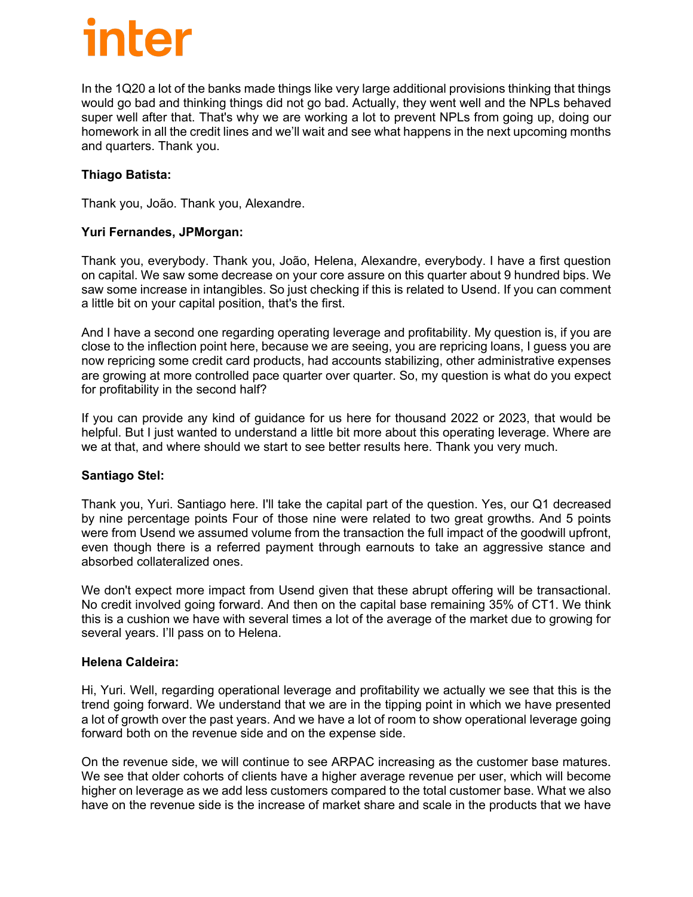In the 1Q20 a lot of the banks made things like very large additional provisions thinking that things would go bad and thinking things did not go bad. Actually, they went well and the NPLs behaved super well after that. That's why we are working a lot to prevent NPLs from going up, doing our homework in all the credit lines and we'll wait and see what happens in the next upcoming months and quarters. Thank you.

#### **Thiago Batista:**

Thank you, João. Thank you, Alexandre.

#### **Yuri Fernandes, JPMorgan:**

Thank you, everybody. Thank you, João, Helena, Alexandre, everybody. I have a first question on capital. We saw some decrease on your core assure on this quarter about 9 hundred bips. We saw some increase in intangibles. So just checking if this is related to Usend. If you can comment a little bit on your capital position, that's the first.

And I have a second one regarding operating leverage and profitability. My question is, if you are close to the inflection point here, because we are seeing, you are repricing loans, I guess you are now repricing some credit card products, had accounts stabilizing, other administrative expenses are growing at more controlled pace quarter over quarter. So, my question is what do you expect for profitability in the second half?

If you can provide any kind of guidance for us here for thousand 2022 or 2023, that would be helpful. But I just wanted to understand a little bit more about this operating leverage. Where are we at that, and where should we start to see better results here. Thank you very much.

#### **Santiago Stel:**

Thank you, Yuri. Santiago here. I'll take the capital part of the question. Yes, our Q1 decreased by nine percentage points Four of those nine were related to two great growths. And 5 points were from Usend we assumed volume from the transaction the full impact of the goodwill upfront, even though there is a referred payment through earnouts to take an aggressive stance and absorbed collateralized ones.

We don't expect more impact from Usend given that these abrupt offering will be transactional. No credit involved going forward. And then on the capital base remaining 35% of CT1. We think this is a cushion we have with several times a lot of the average of the market due to growing for several years. I'll pass on to Helena.

#### **Helena Caldeira:**

Hi, Yuri. Well, regarding operational leverage and profitability we actually we see that this is the trend going forward. We understand that we are in the tipping point in which we have presented a lot of growth over the past years. And we have a lot of room to show operational leverage going forward both on the revenue side and on the expense side.

On the revenue side, we will continue to see ARPAC increasing as the customer base matures. We see that older cohorts of clients have a higher average revenue per user, which will become higher on leverage as we add less customers compared to the total customer base. What we also have on the revenue side is the increase of market share and scale in the products that we have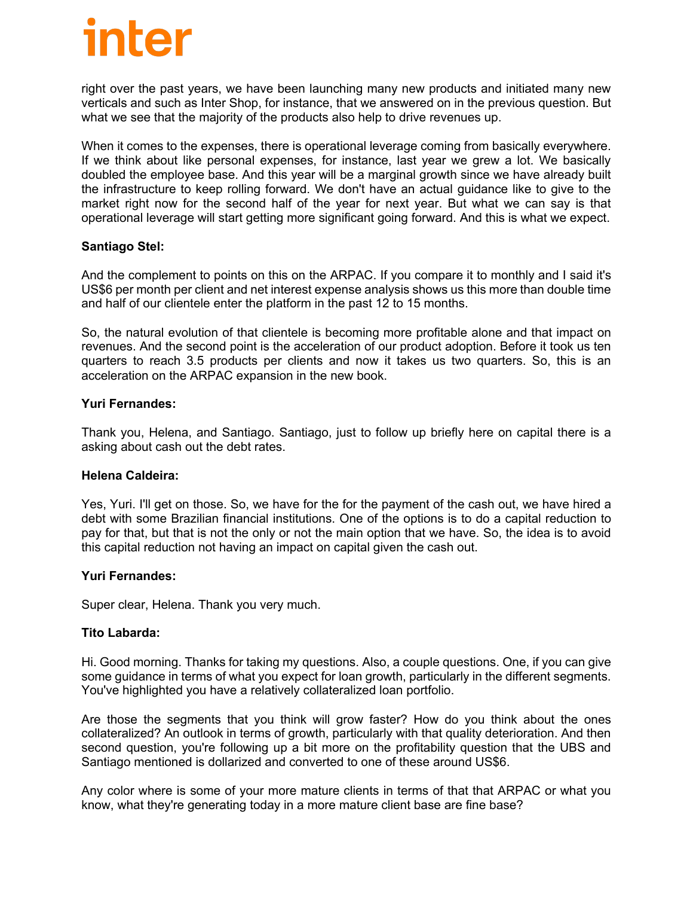right over the past years, we have been launching many new products and initiated many new verticals and such as Inter Shop, for instance, that we answered on in the previous question. But what we see that the majority of the products also help to drive revenues up.

When it comes to the expenses, there is operational leverage coming from basically everywhere. If we think about like personal expenses, for instance, last year we grew a lot. We basically doubled the employee base. And this year will be a marginal growth since we have already built the infrastructure to keep rolling forward. We don't have an actual guidance like to give to the market right now for the second half of the year for next year. But what we can say is that operational leverage will start getting more significant going forward. And this is what we expect.

#### **Santiago Stel:**

And the complement to points on this on the ARPAC. If you compare it to monthly and I said it's US\$6 per month per client and net interest expense analysis shows us this more than double time and half of our clientele enter the platform in the past 12 to 15 months.

So, the natural evolution of that clientele is becoming more profitable alone and that impact on revenues. And the second point is the acceleration of our product adoption. Before it took us ten quarters to reach 3.5 products per clients and now it takes us two quarters. So, this is an acceleration on the ARPAC expansion in the new book.

#### **Yuri Fernandes:**

Thank you, Helena, and Santiago. Santiago, just to follow up briefly here on capital there is a asking about cash out the debt rates.

#### **Helena Caldeira:**

Yes, Yuri. I'll get on those. So, we have for the for the payment of the cash out, we have hired a debt with some Brazilian financial institutions. One of the options is to do a capital reduction to pay for that, but that is not the only or not the main option that we have. So, the idea is to avoid this capital reduction not having an impact on capital given the cash out.

#### **Yuri Fernandes:**

Super clear, Helena. Thank you very much.

#### **Tito Labarda:**

Hi. Good morning. Thanks for taking my questions. Also, a couple questions. One, if you can give some guidance in terms of what you expect for loan growth, particularly in the different segments. You've highlighted you have a relatively collateralized loan portfolio.

Are those the segments that you think will grow faster? How do you think about the ones collateralized? An outlook in terms of growth, particularly with that quality deterioration. And then second question, you're following up a bit more on the profitability question that the UBS and Santiago mentioned is dollarized and converted to one of these around US\$6.

Any color where is some of your more mature clients in terms of that that ARPAC or what you know, what they're generating today in a more mature client base are fine base?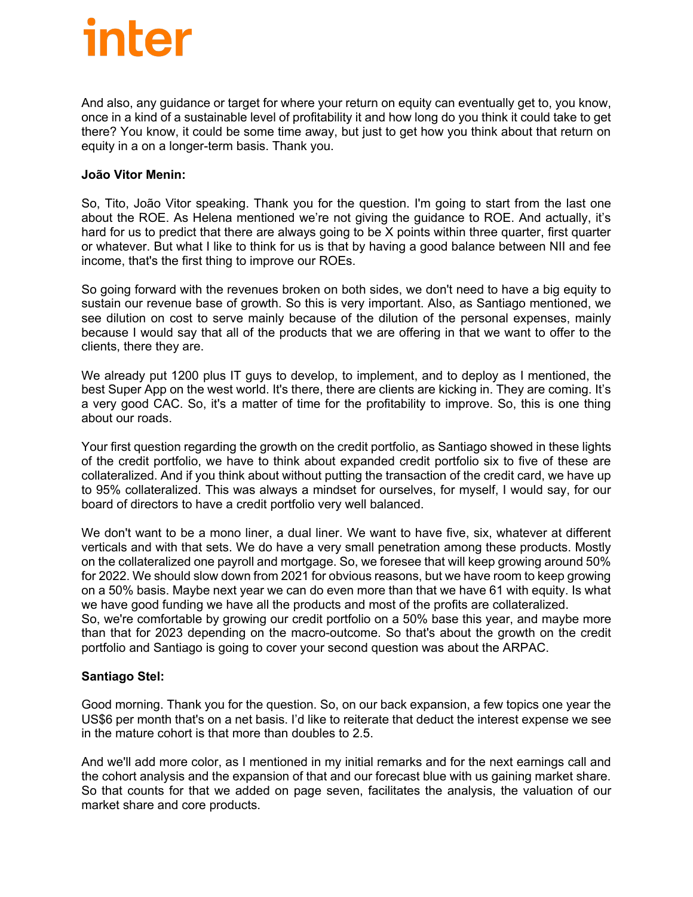And also, any guidance or target for where your return on equity can eventually get to, you know, once in a kind of a sustainable level of profitability it and how long do you think it could take to get there? You know, it could be some time away, but just to get how you think about that return on equity in a on a longer-term basis. Thank you.

#### **João Vitor Menin:**

So, Tito, João Vitor speaking. Thank you for the question. I'm going to start from the last one about the ROE. As Helena mentioned we're not giving the guidance to ROE. And actually, it's hard for us to predict that there are always going to be X points within three quarter, first quarter or whatever. But what I like to think for us is that by having a good balance between NII and fee income, that's the first thing to improve our ROEs.

So going forward with the revenues broken on both sides, we don't need to have a big equity to sustain our revenue base of growth. So this is very important. Also, as Santiago mentioned, we see dilution on cost to serve mainly because of the dilution of the personal expenses, mainly because I would say that all of the products that we are offering in that we want to offer to the clients, there they are.

We already put 1200 plus IT guys to develop, to implement, and to deploy as I mentioned, the best Super App on the west world. It's there, there are clients are kicking in. They are coming. It's a very good CAC. So, it's a matter of time for the profitability to improve. So, this is one thing about our roads.

Your first question regarding the growth on the credit portfolio, as Santiago showed in these lights of the credit portfolio, we have to think about expanded credit portfolio six to five of these are collateralized. And if you think about without putting the transaction of the credit card, we have up to 95% collateralized. This was always a mindset for ourselves, for myself, I would say, for our board of directors to have a credit portfolio very well balanced.

We don't want to be a mono liner, a dual liner. We want to have five, six, whatever at different verticals and with that sets. We do have a very small penetration among these products. Mostly on the collateralized one payroll and mortgage. So, we foresee that will keep growing around 50% for 2022. We should slow down from 2021 for obvious reasons, but we have room to keep growing on a 50% basis. Maybe next year we can do even more than that we have 61 with equity. Is what we have good funding we have all the products and most of the profits are collateralized. So, we're comfortable by growing our credit portfolio on a 50% base this year, and maybe more than that for 2023 depending on the macro-outcome. So that's about the growth on the credit portfolio and Santiago is going to cover your second question was about the ARPAC.

#### **Santiago Stel:**

Good morning. Thank you for the question. So, on our back expansion, a few topics one year the US\$6 per month that's on a net basis. I'd like to reiterate that deduct the interest expense we see in the mature cohort is that more than doubles to 2.5.

And we'll add more color, as I mentioned in my initial remarks and for the next earnings call and the cohort analysis and the expansion of that and our forecast blue with us gaining market share. So that counts for that we added on page seven, facilitates the analysis, the valuation of our market share and core products.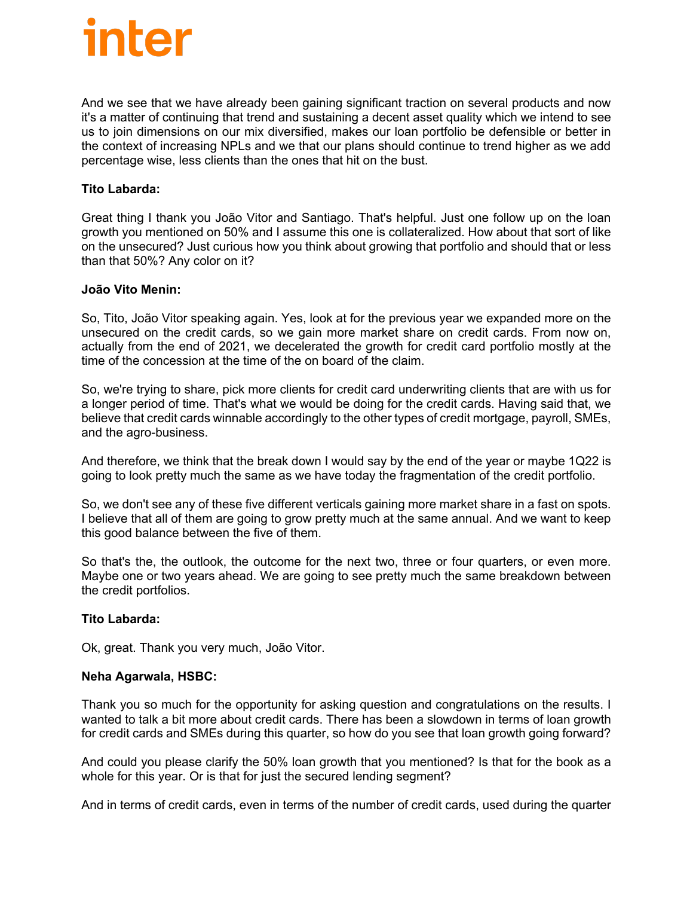And we see that we have already been gaining significant traction on several products and now it's a matter of continuing that trend and sustaining a decent asset quality which we intend to see us to join dimensions on our mix diversified, makes our loan portfolio be defensible or better in the context of increasing NPLs and we that our plans should continue to trend higher as we add percentage wise, less clients than the ones that hit on the bust.

#### **Tito Labarda:**

Great thing I thank you João Vitor and Santiago. That's helpful. Just one follow up on the loan growth you mentioned on 50% and I assume this one is collateralized. How about that sort of like on the unsecured? Just curious how you think about growing that portfolio and should that or less than that 50%? Any color on it?

#### **João Vito Menin:**

So, Tito, João Vitor speaking again. Yes, look at for the previous year we expanded more on the unsecured on the credit cards, so we gain more market share on credit cards. From now on, actually from the end of 2021, we decelerated the growth for credit card portfolio mostly at the time of the concession at the time of the on board of the claim.

So, we're trying to share, pick more clients for credit card underwriting clients that are with us for a longer period of time. That's what we would be doing for the credit cards. Having said that, we believe that credit cards winnable accordingly to the other types of credit mortgage, payroll, SMEs, and the agro-business.

And therefore, we think that the break down I would say by the end of the year or maybe 1Q22 is going to look pretty much the same as we have today the fragmentation of the credit portfolio.

So, we don't see any of these five different verticals gaining more market share in a fast on spots. I believe that all of them are going to grow pretty much at the same annual. And we want to keep this good balance between the five of them.

So that's the, the outlook, the outcome for the next two, three or four quarters, or even more. Maybe one or two years ahead. We are going to see pretty much the same breakdown between the credit portfolios.

#### **Tito Labarda:**

Ok, great. Thank you very much, João Vitor.

#### **Neha Agarwala, HSBC:**

Thank you so much for the opportunity for asking question and congratulations on the results. I wanted to talk a bit more about credit cards. There has been a slowdown in terms of loan growth for credit cards and SMEs during this quarter, so how do you see that loan growth going forward?

And could you please clarify the 50% loan growth that you mentioned? Is that for the book as a whole for this year. Or is that for just the secured lending segment?

And in terms of credit cards, even in terms of the number of credit cards, used during the quarter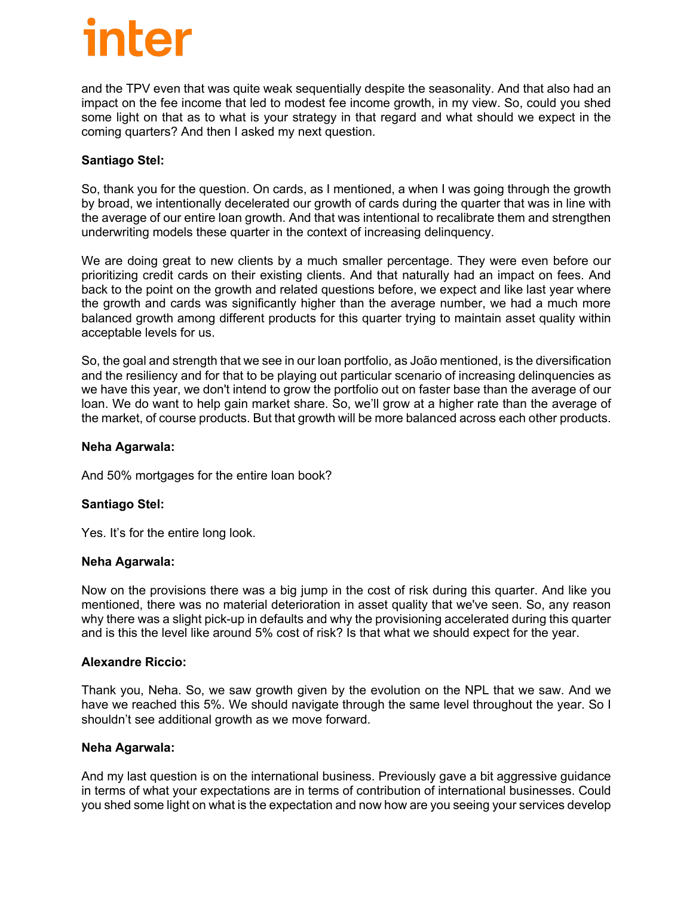and the TPV even that was quite weak sequentially despite the seasonality. And that also had an impact on the fee income that led to modest fee income growth, in my view. So, could you shed some light on that as to what is your strategy in that regard and what should we expect in the coming quarters? And then I asked my next question.

#### **Santiago Stel:**

So, thank you for the question. On cards, as I mentioned, a when I was going through the growth by broad, we intentionally decelerated our growth of cards during the quarter that was in line with the average of our entire loan growth. And that was intentional to recalibrate them and strengthen underwriting models these quarter in the context of increasing delinquency.

We are doing great to new clients by a much smaller percentage. They were even before our prioritizing credit cards on their existing clients. And that naturally had an impact on fees. And back to the point on the growth and related questions before, we expect and like last year where the growth and cards was significantly higher than the average number, we had a much more balanced growth among different products for this quarter trying to maintain asset quality within acceptable levels for us.

So, the goal and strength that we see in our loan portfolio, as João mentioned, is the diversification and the resiliency and for that to be playing out particular scenario of increasing delinquencies as we have this year, we don't intend to grow the portfolio out on faster base than the average of our loan. We do want to help gain market share. So, we'll grow at a higher rate than the average of the market, of course products. But that growth will be more balanced across each other products.

#### **Neha Agarwala:**

And 50% mortgages for the entire loan book?

#### **Santiago Stel:**

Yes. It's for the entire long look.

#### **Neha Agarwala:**

Now on the provisions there was a big jump in the cost of risk during this quarter. And like you mentioned, there was no material deterioration in asset quality that we've seen. So, any reason why there was a slight pick-up in defaults and why the provisioning accelerated during this quarter and is this the level like around 5% cost of risk? Is that what we should expect for the year.

#### **Alexandre Riccio:**

Thank you, Neha. So, we saw growth given by the evolution on the NPL that we saw. And we have we reached this 5%. We should navigate through the same level throughout the year. So I shouldn't see additional growth as we move forward.

#### **Neha Agarwala:**

And my last question is on the international business. Previously gave a bit aggressive guidance in terms of what your expectations are in terms of contribution of international businesses. Could you shed some light on what is the expectation and now how are you seeing your services develop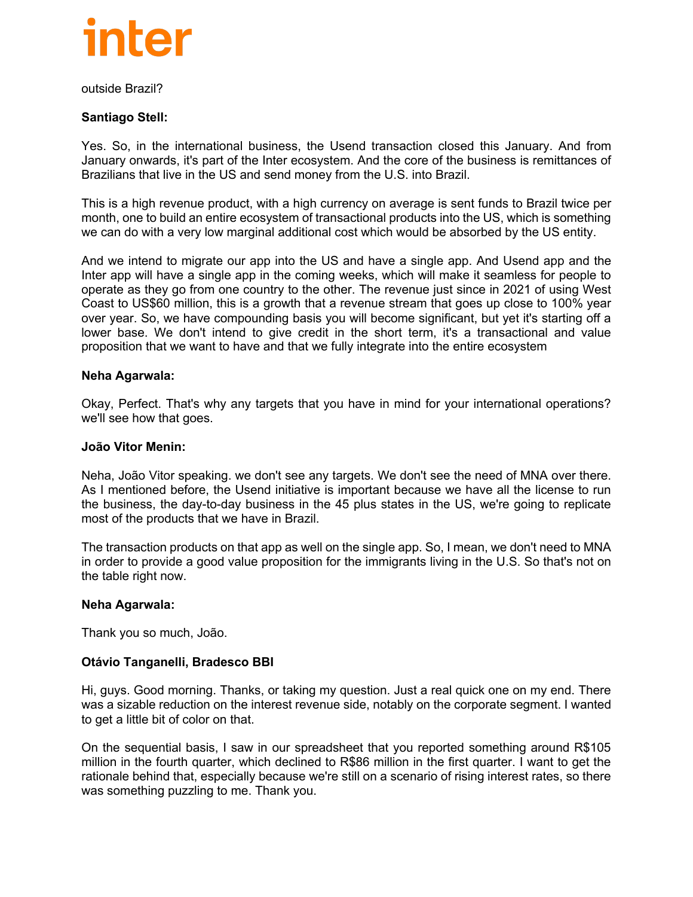

outside Brazil?

#### **Santiago Stell:**

Yes. So, in the international business, the Usend transaction closed this January. And from January onwards, it's part of the Inter ecosystem. And the core of the business is remittances of Brazilians that live in the US and send money from the U.S. into Brazil.

This is a high revenue product, with a high currency on average is sent funds to Brazil twice per month, one to build an entire ecosystem of transactional products into the US, which is something we can do with a very low marginal additional cost which would be absorbed by the US entity.

And we intend to migrate our app into the US and have a single app. And Usend app and the Inter app will have a single app in the coming weeks, which will make it seamless for people to operate as they go from one country to the other. The revenue just since in 2021 of using West Coast to US\$60 million, this is a growth that a revenue stream that goes up close to 100% year over year. So, we have compounding basis you will become significant, but yet it's starting off a lower base. We don't intend to give credit in the short term, it's a transactional and value proposition that we want to have and that we fully integrate into the entire ecosystem

#### **Neha Agarwala:**

Okay, Perfect. That's why any targets that you have in mind for your international operations? we'll see how that goes.

#### **João Vitor Menin:**

Neha, João Vitor speaking. we don't see any targets. We don't see the need of MNA over there. As I mentioned before, the Usend initiative is important because we have all the license to run the business, the day-to-day business in the 45 plus states in the US, we're going to replicate most of the products that we have in Brazil.

The transaction products on that app as well on the single app. So, I mean, we don't need to MNA in order to provide a good value proposition for the immigrants living in the U.S. So that's not on the table right now.

#### **Neha Agarwala:**

Thank you so much, João.

#### **Otávio Tanganelli, Bradesco BBI**

Hi, guys. Good morning. Thanks, or taking my question. Just a real quick one on my end. There was a sizable reduction on the interest revenue side, notably on the corporate segment. I wanted to get a little bit of color on that.

On the sequential basis, I saw in our spreadsheet that you reported something around R\$105 million in the fourth quarter, which declined to R\$86 million in the first quarter. I want to get the rationale behind that, especially because we're still on a scenario of rising interest rates, so there was something puzzling to me. Thank you.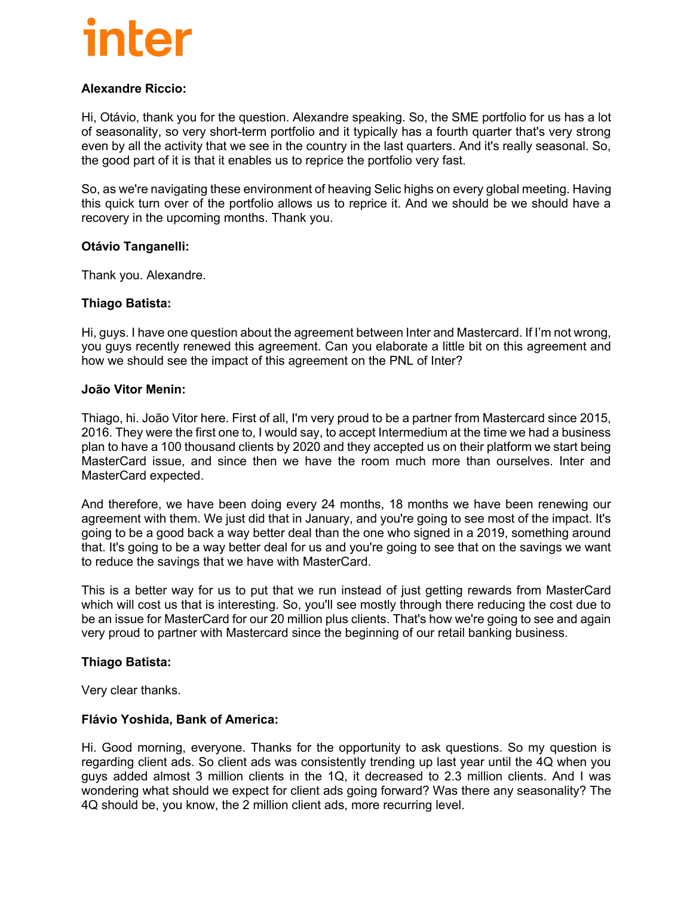#### **Alexandre Riccio:**

Hi, Otávio, thank you for the question. Alexandre speaking. So, the SME portfolio for us has a lot of seasonality, so very short-term portfolio and it typically has a fourth quarter that's very strong even by all the activity that we see in the country in the last quarters. And it's really seasonal. So, the good part of it is that it enables us to reprice the portfolio very fast.

So, as we're navigating these environment of heaving Selic highs on every global meeting. Having this quick turn over of the portfolio allows us to reprice it. And we should be we should have a recovery in the upcoming months. Thank you.

#### **Otávio Tanganelli:**

Thank you. Alexandre.

#### **Thiago Batista:**

Hi, guys. I have one question about the agreement between Inter and Mastercard. If I'm not wrong, you guys recently renewed this agreement. Can you elaborate a little bit on this agreement and how we should see the impact of this agreement on the PNL of Inter?

#### **João Vitor Menin:**

Thiago, hi. João Vitor here. First of all, I'm very proud to be a partner from Mastercard since 2015, 2016. They were the first one to, I would say, to accept Intermedium at the time we had a business plan to have a 100 thousand clients by 2020 and they accepted us on their platform we start being MasterCard issue, and since then we have the room much more than ourselves. Inter and MasterCard expected.

And therefore, we have been doing every 24 months, 18 months we have been renewing our agreement with them. We just did that in January, and you're going to see most of the impact. It's going to be a good back a way better deal than the one who signed in a 2019, something around that. It's going to be a way better deal for us and you're going to see that on the savings we want to reduce the savings that we have with MasterCard.

This is a better way for us to put that we run instead of just getting rewards from MasterCard which will cost us that is interesting. So, you'll see mostly through there reducing the cost due to be an issue for MasterCard for our 20 million plus clients. That's how we're going to see and again very proud to partner with Mastercard since the beginning of our retail banking business.

#### **Thiago Batista:**

Very clear thanks.

#### **Flávio Yoshida, Bank of America:**

Hi. Good morning, everyone. Thanks for the opportunity to ask questions. So my question is regarding client ads. So client ads was consistently trending up last year until the 4Q when you guys added almost 3 million clients in the 1Q, it decreased to 2.3 million clients. And I was wondering what should we expect for client ads going forward? Was there any seasonality? The 4Q should be, you know, the 2 million client ads, more recurring level.